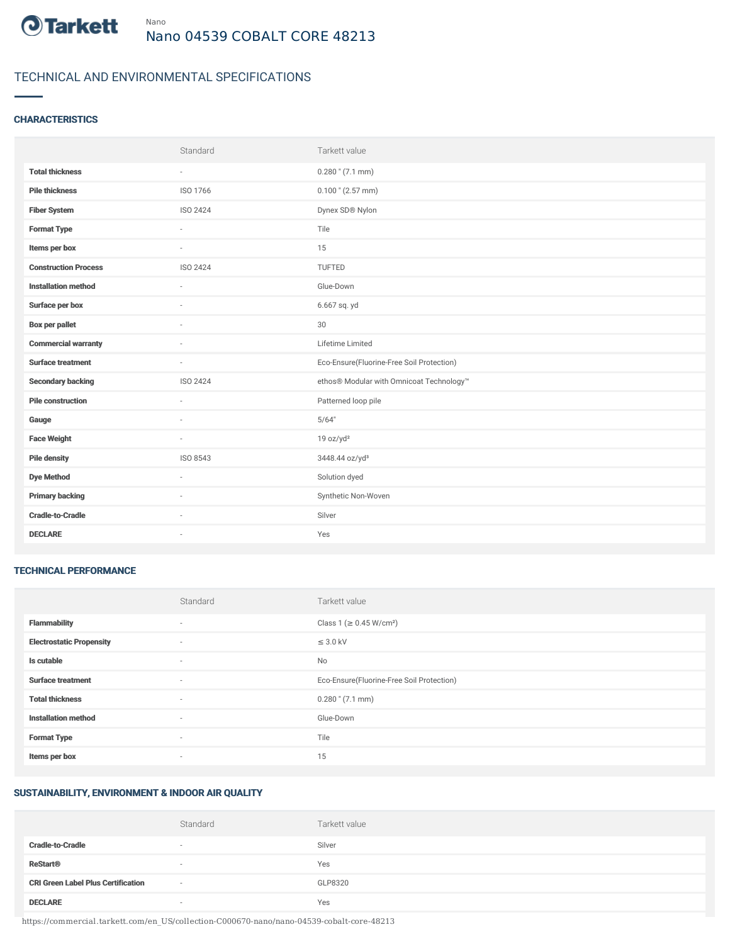

# TECHNICAL AND ENVIRONMENTAL SPECIFICATIONS

## **CHARACTERISTICS**

|                             | Standard | Tarkett value                             |
|-----------------------------|----------|-------------------------------------------|
| <b>Total thickness</b>      | $\sim$   | $0.280$ " (7.1 mm)                        |
| <b>Pile thickness</b>       | ISO 1766 | $0.100$ " (2.57 mm)                       |
| <b>Fiber System</b>         | ISO 2424 | Dynex SD® Nylon                           |
| <b>Format Type</b>          | ÷.       | Tile                                      |
| Items per box               | $\sim$   | 15                                        |
| <b>Construction Process</b> | ISO 2424 | TUFTED                                    |
| <b>Installation method</b>  | ×.       | Glue-Down                                 |
| Surface per box             | ٠        | 6.667 sq. yd                              |
| <b>Box per pallet</b>       | $\sim$   | 30                                        |
| <b>Commercial warranty</b>  |          | Lifetime Limited                          |
| <b>Surface treatment</b>    | $\sim$   | Eco-Ensure(Fluorine-Free Soil Protection) |
| <b>Secondary backing</b>    | ISO 2424 | ethos® Modular with Omnicoat Technology™  |
| <b>Pile construction</b>    | $\sim$   | Patterned loop pile                       |
| Gauge                       |          | 5/64"                                     |
| <b>Face Weight</b>          | $\sim$   | 19 oz/yd <sup>2</sup>                     |
| <b>Pile density</b>         | ISO 8543 | 3448.44 oz/yd <sup>3</sup>                |
| <b>Dye Method</b>           | $\sim$   | Solution dyed                             |
| <b>Primary backing</b>      |          | Synthetic Non-Woven                       |
| <b>Cradle-to-Cradle</b>     | $\sim$   | Silver                                    |
| <b>DECLARE</b>              | ٠        | Yes                                       |

#### TECHNICAL PERFORMANCE

|                                 | Standard                 | Tarkett value                             |
|---------------------------------|--------------------------|-------------------------------------------|
| <b>Flammability</b>             | $\overline{\phantom{a}}$ | Class 1 (≥ 0.45 W/cm <sup>2</sup> )       |
| <b>Electrostatic Propensity</b> | ٠                        | $\leq$ 3.0 kV                             |
| Is cutable                      | $\overline{\phantom{a}}$ | No                                        |
| <b>Surface treatment</b>        | $\sim$                   | Eco-Ensure(Fluorine-Free Soil Protection) |
| <b>Total thickness</b>          | $\sim$                   | $0.280$ " $(7.1$ mm)                      |
| <b>Installation method</b>      | $\sim$                   | Glue-Down                                 |
| <b>Format Type</b>              | $\sim$                   | Tile                                      |
| Items per box                   | $\overline{\phantom{a}}$ | 15                                        |

### SUSTAINABILITY, ENVIRONMENT & INDOOR AIR QUALITY

|                                           | Standard | Tarkett value |
|-------------------------------------------|----------|---------------|
| <b>Cradle-to-Cradle</b>                   |          | Silver        |
| <b>ReStart<sup>®</sup></b>                | $\sim$   | Yes           |
| <b>CRI Green Label Plus Certification</b> | $\sim$   | GLP8320       |
| <b>DECLARE</b>                            |          | Yes           |

https://commercial.tarkett.com/en\_US/collection-C000670-nano/nano-04539-cobalt-core-48213